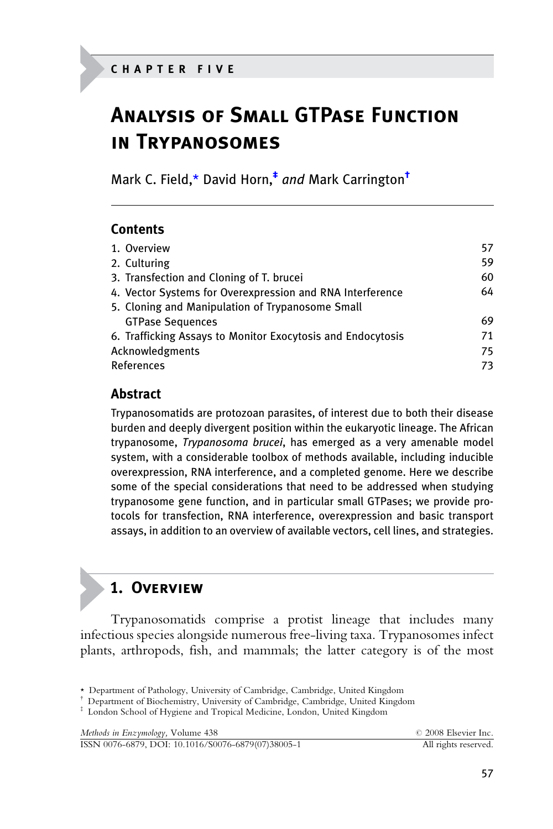# Analysis of Small GTPase Function in Trypanosomes

Mark C. Field,\* David Horn,<sup>#</sup> and Mark Carrington<sup>†</sup>

#### **Contents** sections<br>1 Overview

| 57 |
|----|
| 59 |
| 60 |
| 64 |
|    |
| 69 |
| 71 |
| 75 |
| 73 |
|    |

# **Abstract**

Abstract Trypanosomatids are protozoan parasites, of interest due to both their disease burden and deeply divergent position within the eukaryotic lineage. The African trypanosome, Trypanosoma brucei, has emerged as a very amenable model system, with a considerable toolbox of methods available, including inducible overexpression, RNA interference, and a completed genome. Here we describe some of the special considerations that need to be addressed when studying trypanosome gene function, and in particular small GTPases; we provide protocols for transfection, RNA interference, overexpression and basic transport assays, in addition to an overview of available vectors, cell lines, and strategies.

# 1. Overview

Trypanosomatids comprise a protist lineage that includes many infectious species alongside numerous free-living taxa. Trypanosomes infect plants, arthropods, fish, and mammals; the latter category is of the most

Methods in Enzymology, Volume 438 # 2008 Elsevier Inc. ISSN 0076-6879, DOI: 10.1016/S0076-6879(07)38005-1

<sup>\*</sup> Department of Pathology, University of Cambridge, Cambridge, United Kingdom<br><sup>†</sup> Department of Biochemistry, University of Cambridge, Cambridge, United Kingdom<br><sup>‡</sup> London School of Hygiene and Tropical Medicine, London, U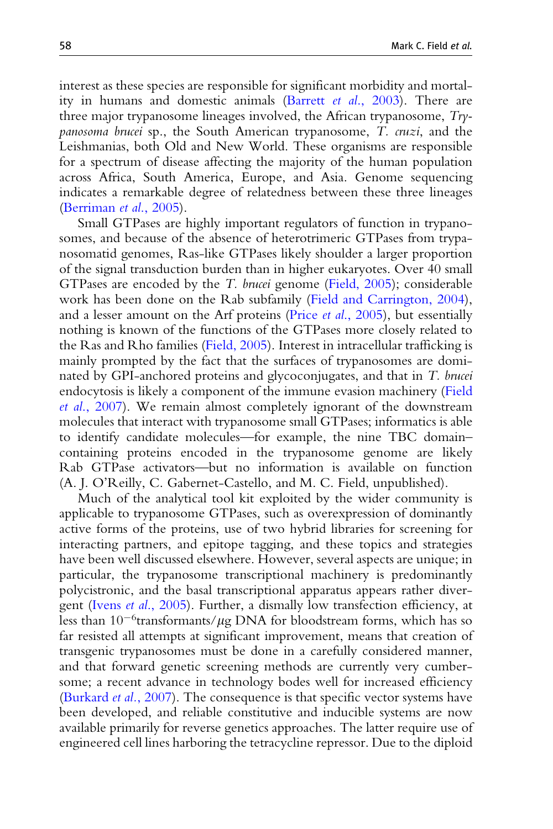interest as these species are responsible for significant morbidity and mortality in humans and domestic animals (Barrett et al[., 2003](#page-17-0)). There are three major trypanosome lineages involved, the African trypanosome, Trypanosoma brucei sp., the South American trypanosome, T. cruzi, and the Leishmanias, both Old and New World. These organisms are responsible for a spectrum of disease affecting the majority of the human population across Africa, South America, Europe, and Asia. Genome sequencing indicates a remarkable degree of relatedness between these three lineages ([Berriman](#page-17-0) et al., 2005).

Small GTPases are highly important regulators of function in trypanosomes, and because of the absence of heterotrimeric GTPases from trypanosomatid genomes, Ras-like GTPases likely shoulder a larger proportion of the signal transduction burden than in higher eukaryotes. Over 40 small GTPases are encoded by the T. brucei genome ([Field, 2005\)](#page-17-0); considerable work has been done on the Rab subfamily ([Field and Carrington, 2004\)](#page-17-0), and a lesser amount on the Arf proteins (Price et al[., 2005](#page-18-0)), but essentially nothing is known of the functions of the GTPases more closely related to the Ras and Rho families [\(Field, 2005\)](#page-17-0). Interest in intracellular trafficking is mainly prompted by the fact that the surfaces of trypanosomes are dominated by GPI-anchored proteins and glycoconjugates, and that in T. brucei endocytosis is likely a component of the immune evasion machinery ([Field](#page-17-0) et al[., 2007\)](#page-17-0). We remain almost completely ignorant of the downstream molecules that interact with trypanosome small GTPases; informatics is able to identify candidate molecules—for example, the nine TBC domain– containing proteins encoded in the trypanosome genome are likely Rab GTPase activators—but no information is available on function (A. J. O'Reilly, C. Gabernet-Castello, and M. C. Field, unpublished).

Much of the analytical tool kit exploited by the wider community is applicable to trypanosome GTPases, such as overexpression of dominantly active forms of the proteins, use of two hybrid libraries for screening for interacting partners, and epitope tagging, and these topics and strategies have been well discussed elsewhere. However, several aspects are unique; in particular, the trypanosome transcriptional machinery is predominantly polycistronic, and the basal transcriptional apparatus appears rather divergent (Ivens et al[., 2005\)](#page-18-0). Further, a dismally low transfection efficiency, at less than  $10^{-6}$ transformants/ $\mu$ g DNA for bloodstream forms, which has so far resisted all attempts at significant improvement, means that creation of transgenic trypanosomes must be done in a carefully considered manner, and that forward genetic screening methods are currently very cumbersome; a recent advance in technology bodes well for increased efficiency [\(Burkard](#page-17-0) et al., 2007). The consequence is that specific vector systems have been developed, and reliable constitutive and inducible systems are now available primarily for reverse genetics approaches. The latter require use of engineered cell lines harboring the tetracycline repressor. Due to the diploid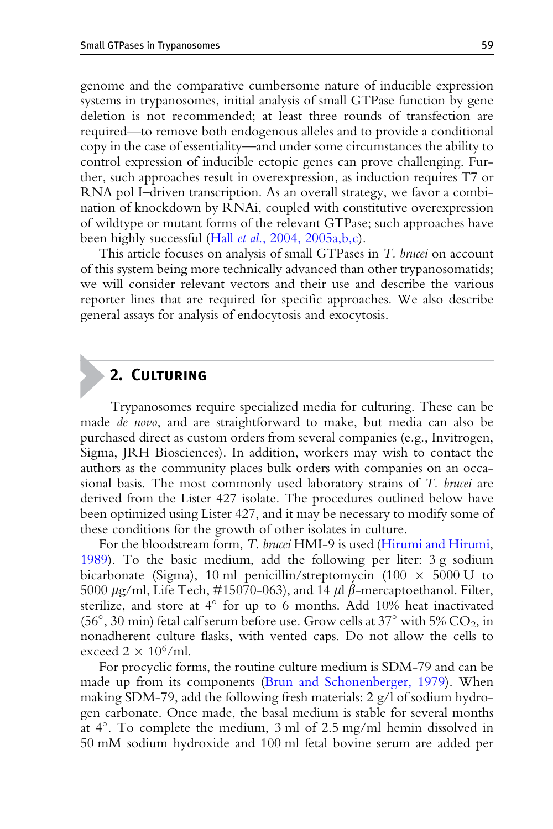genome and the comparative cumbersome nature of inducible expression systems in trypanosomes, initial analysis of small GTPase function by gene deletion is not recommended; at least three rounds of transfection are required—to remove both endogenous alleles and to provide a conditional copy in the case of essentiality—and under some circumstances the ability to control expression of inducible ectopic genes can prove challenging. Further, such approaches result in overexpression, as induction requires T7 or RNA pol I–driven transcription. As an overall strategy, we favor a combination of knockdown by RNAi, coupled with constitutive overexpression of wildtype or mutant forms of the relevant GTPase; such approaches have been highly successful (Hall et al., 2004, [2005a,b,c\)](#page-17-0).

This article focuses on analysis of small GTPases in T. brucei on account of this system being more technically advanced than other trypanosomatids; we will consider relevant vectors and their use and describe the various reporter lines that are required for specific approaches. We also describe general assays for analysis of endocytosis and exocytosis.

## 2. Culturing

Trypanosomes require specialized media for culturing. These can be made de novo, and are straightforward to make, but media can also be purchased direct as custom orders from several companies (e.g., Invitrogen, Sigma, JRH Biosciences). In addition, workers may wish to contact the authors as the community places bulk orders with companies on an occasional basis. The most commonly used laboratory strains of T. brucei are derived from the Lister 427 isolate. The procedures outlined below have been optimized using Lister 427, and it may be necessary to modify some of these conditions for the growth of other isolates in culture.

For the bloodstream form, T. brucei HMI-9 is used (Hirumi and [Hirumi,](#page-18-0) [1989\)](#page-18-0). To the basic medium, add the following per liter: 3 g sodium bicarbonate (Sigma), 10 ml penicillin/streptomycin (100  $\times$  5000 U to 5000  $\mu$ g/ml, Life Tech, #15070-063), and 14  $\mu$ l  $\beta$ -mercaptoethanol. Filter, sterilize, and store at  $4^{\circ}$  for up to 6 months. Add 10% heat inactivated (56 $^{\circ}$ , 30 min) fetal calf serum before use. Grow cells at 37 $^{\circ}$  with 5% CO<sub>2</sub>, in nonadherent culture flasks, with vented caps. Do not allow the cells to exceed  $2 \times 10^6$ /ml.

For procyclic forms, the routine culture medium is SDM-79 and can be made up from its components ([Brun and Schonenberger, 1979\)](#page-17-0). When making SDM-79, add the following fresh materials:  $2 \text{ g}/l$  of sodium hydrogen carbonate. Once made, the basal medium is stable for several months at  $4^\circ$ . To complete the medium, 3 ml of 2.5 mg/ml hemin dissolved in 50 mM sodium hydroxide and 100 ml fetal bovine serum are added per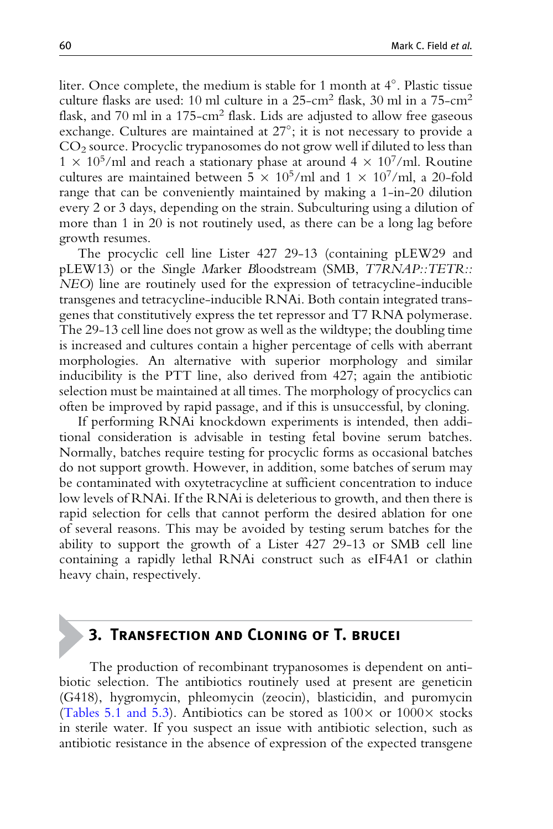liter. Once complete, the medium is stable for 1 month at  $4^\circ$ . Plastic tissue culture flasks are used: 10 ml culture in a 25-cm<sup>2</sup> flask, 30 ml in a 75-cm<sup>2</sup> flask, and 70 ml in a 175-cm<sup>2</sup> flask. Lids are adjusted to allow free gaseous exchange. Cultures are maintained at 27°; it is not necessary to provide a CO2 source. Procyclic trypanosomes do not grow well if diluted to less than  $1 \times 10^5$ /ml and reach a stationary phase at around  $4 \times 10^7$ /ml. Routine cultures are maintained between  $5 \times 10^5/\text{ml}$  and  $1 \times 10^7/\text{ml}$ , a 20-fold range that can be conveniently maintained by making a 1-in-20 dilution every 2 or 3 days, depending on the strain. Subculturing using a dilution of more than 1 in 20 is not routinely used, as there can be a long lag before growth resumes.

The procyclic cell line Lister 427 29-13 (containing pLEW29 and pLEW13) or the Single Marker Bloodstream (SMB, T7RNAP::TETR:: NEO) line are routinely used for the expression of tetracycline-inducible transgenes and tetracycline-inducible RNAi. Both contain integrated transgenes that constitutively express the tet repressor and T7 RNA polymerase. The 29-13 cell line does not grow as well as the wildtype; the doubling time is increased and cultures contain a higher percentage of cells with aberrant morphologies. An alternative with superior morphology and similar inducibility is the PTT line, also derived from 427; again the antibiotic selection must be maintained at all times. The morphology of procyclics can often be improved by rapid passage, and if this is unsuccessful, by cloning.

If performing RNAi knockdown experiments is intended, then additional consideration is advisable in testing fetal bovine serum batches. Normally, batches require testing for procyclic forms as occasional batches do not support growth. However, in addition, some batches of serum may be contaminated with oxytetracycline at sufficient concentration to induce low levels of RNAi. If the RNAi is deleterious to growth, and then there is rapid selection for cells that cannot perform the desired ablation for one of several reasons. This may be avoided by testing serum batches for the ability to support the growth of a Lister 427 29-13 or SMB cell line containing a rapidly lethal RNAi construct such as eIF4A1 or clathin heavy chain, respectively.

# 3. Transfection and Cloning of T. brucei

The production of recombinant trypanosomes is dependent on antibiotic selection. The antibiotics routinely used at present are geneticin (G418), hygromycin, phleomycin (zeocin), blasticidin, and puromycin ([Tables 5.1 and 5.3](#page-4-0)). Antibiotics can be stored as  $100 \times$  or  $1000 \times$  stocks in sterile water. If you suspect an issue with antibiotic selection, such as antibiotic resistance in the absence of expression of the expected transgene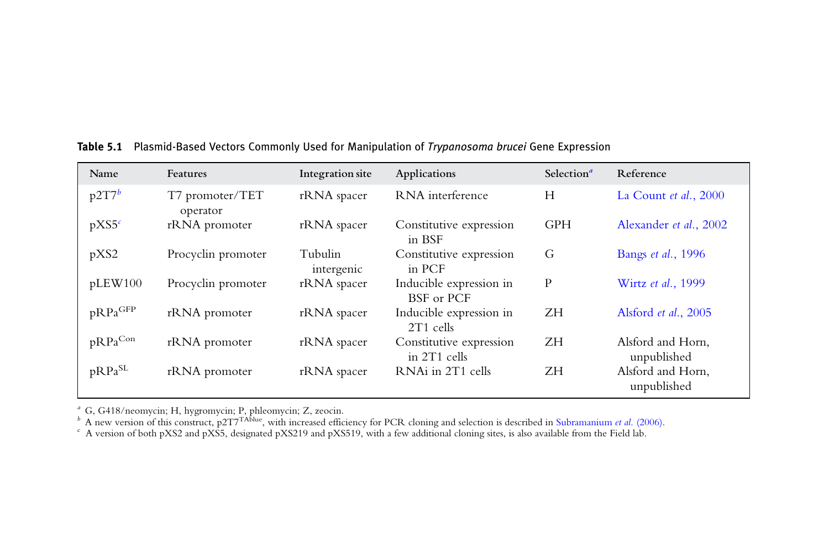| Name         | Features                    | Integration site      | Applications                            | Selection <sup>a</sup> | Reference                        |
|--------------|-----------------------------|-----------------------|-----------------------------------------|------------------------|----------------------------------|
| $p2T7^b$     | T7 promoter/TET<br>operator | rRNA spacer           | RNA interference                        | H                      | La Count et al., 2000            |
| $pXS5^c$     | rRNA promoter               | rRNA spacer           | Constitutive expression<br>in BSF       | <b>GPH</b>             | Alexander et al., 2002           |
| pXS2         | Procyclin promoter          | Tubulin<br>intergenic | Constitutive expression<br>in PCF       | G                      | Bangs et al., 1996               |
| pLEW100      | Procyclin promoter          | rRNA spacer           | Inducible expression in<br>BSF or PCF   | P                      | Wirtz et al., 1999               |
| $pRPa^{GFP}$ | rRNA promoter               | rRNA spacer           | Inducible expression in<br>2T1 cells    | ΖH                     | Alsford et al., 2005             |
| $pRPa^{Con}$ | rRNA promoter               | rRNA spacer           | Constitutive expression<br>in 2T1 cells | ΖH                     | Alsford and Horn,<br>unpublished |
| $pRPa^{SL}$  | rRNA promoter               | rRNA spacer           | RNAi in 2T1 cells                       | ΖH                     | Alsford and Horn,<br>unpublished |

<span id="page-4-0"></span>**Table 5.1** Plasmid-Based Vectors Commonly Used for Manipulation of *Trypanosoma brucei* Gene Expression

<sup>a</sup> G, G418/neomycin; H, hygromycin; P, phleomycin; Z, zeocin.<br><sup>b</sup> A new version of this construct, p2T7<sup>TAblue</sup>, with increased efficiency for PCR cloning and selection is described in [Subramanium](#page-18-0) *et al.* (2006).<br><sup>c</sup> A v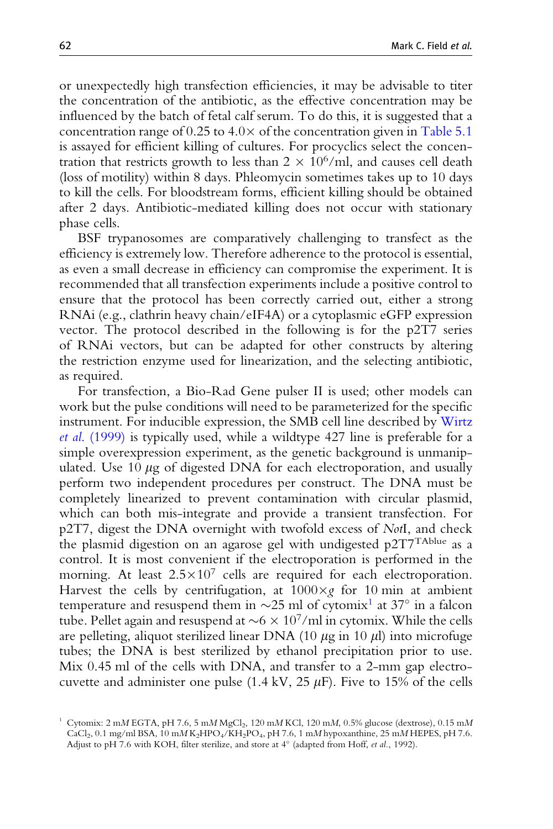or unexpectedly high transfection efficiencies, it may be advisable to titer the concentration of the antibiotic, as the effective concentration may be influenced by the batch of fetal calf serum. To do this, it is suggested that a concentration range of  $0.25$  to  $4.0 \times$  of the concentration given in [Table 5.1](#page-4-0) is assayed for efficient killing of cultures. For procyclics select the concentration that restricts growth to less than  $2 \times 10^6$ /ml, and causes cell death (loss of motility) within 8 days. Phleomycin sometimes takes up to 10 days to kill the cells. For bloodstream forms, efficient killing should be obtained after 2 days. Antibiotic-mediated killing does not occur with stationary phase cells.

BSF trypanosomes are comparatively challenging to transfect as the efficiency is extremely low. Therefore adherence to the protocol is essential, as even a small decrease in efficiency can compromise the experiment. It is recommended that all transfection experiments include a positive control to ensure that the protocol has been correctly carried out, either a strong RNAi (e.g., clathrin heavy chain/eIF4A) or a cytoplasmic eGFP expression vector. The protocol described in the following is for the p2T7 series of RNAi vectors, but can be adapted for other constructs by altering the restriction enzyme used for linearization, and the selecting antibiotic, as required.

For transfection, a Bio-Rad Gene pulser II is used; other models can work but the pulse conditions will need to be parameterized for the specific instrument. For inducible expression, the SMB cell line described by [Wirtz](#page-18-0) et al. [\(1999\)](#page-18-0) is typically used, while a wildtype 427 line is preferable for a simple overexpression experiment, as the genetic background is unmanipulated. Use 10  $\mu$ g of digested DNA for each electroporation, and usually perform two independent procedures per construct. The DNA must be completely linearized to prevent contamination with circular plasmid, which can both mis-integrate and provide a transient transfection. For p2T7, digest the DNA overnight with twofold excess of NotI, and check the plasmid digestion on an agarose gel with undigested p2T7TAblue as a control. It is most convenient if the electroporation is performed in the morning. At least  $2.5\times10^{7}$  cells are required for each electroporation. Harvest the cells by centrifugation, at  $1000 \times g$  for 10 min at ambient temperature and resuspend them in  $\sim$ 25 ml of cytomix<sup>1</sup> at 37° in a falcon tube. Pellet again and resuspend at  $\sim 6 \times 10^7$ /ml in cytomix. While the cells are pelleting, aliquot sterilized linear DNA (10  $\mu$ g in 10  $\mu$ l) into microfuge tubes; the DNA is best sterilized by ethanol precipitation prior to use. Mix 0.45 ml of the cells with DNA, and transfer to a 2-mm gap electrocuvette and administer one pulse (1.4 kV,  $25 \mu$ F). Five to 15% of the cells

Cytomix: 2 mM EGTA, pH 7.6, 5 mM MgCl<sub>2</sub>, 120 mM KCl, 120 mM, 0.5% glucose (dextrose), 0.15 mM CaCl2, 0.1 mg/ml BSA, 10 mM K2HPO4/KH2PO4, pH 7.6, 1 mM hypoxanthine, 25 mM HEPES, pH 7.6. Adjust to pH 7.6 with KOH, filter sterilize, and store at 4° (adapted from Hoff, et al., 1992).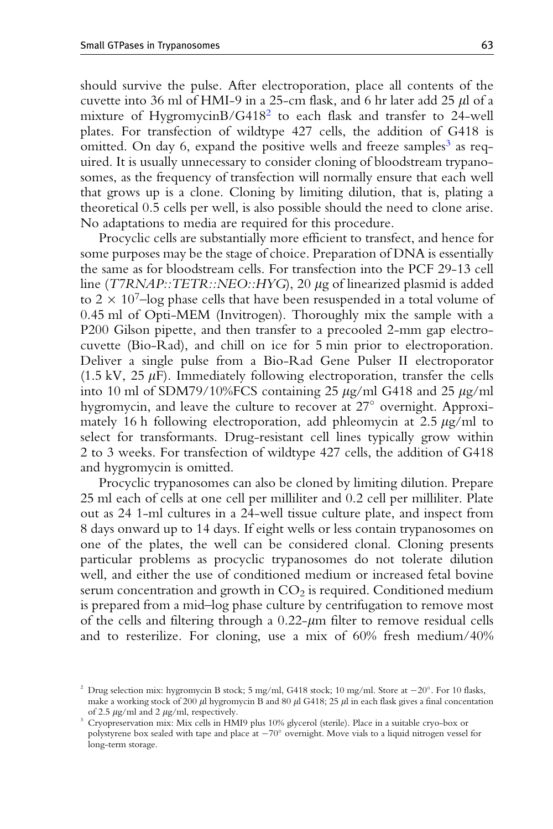should survive the pulse. After electroporation, place all contents of the cuvette into 36 ml of HMI-9 in a 25-cm flask, and 6 hr later add 25  $\mu$ l of a mixture of HygromycinB/G418<sup>2</sup> to each flask and transfer to 24-well plates. For transfection of wildtype 427 cells, the addition of G418 is omitted. On day 6, expand the positive wells and freeze samples<sup>3</sup> as required. It is usually unnecessary to consider cloning of bloodstream trypanosomes, as the frequency of transfection will normally ensure that each well that grows up is a clone. Cloning by limiting dilution, that is, plating a theoretical 0.5 cells per well, is also possible should the need to clone arise. No adaptations to media are required for this procedure.

Procyclic cells are substantially more efficient to transfect, and hence for some purposes may be the stage of choice. Preparation of DNA is essentially the same as for bloodstream cells. For transfection into the PCF 29-13 cell line (T7RNAP::TETR::NEO::HYG), 20 µg of linearized plasmid is added to  $2 \times 10^7$ –log phase cells that have been resuspended in a total volume of 0.45 ml of Opti-MEM (Invitrogen). Thoroughly mix the sample with a P200 Gilson pipette, and then transfer to a precooled 2-mm gap electrocuvette (Bio-Rad), and chill on ice for 5 min prior to electroporation. Deliver a single pulse from a Bio-Rad Gene Pulser II electroporator (1.5 kV,  $25 \mu$ F). Immediately following electroporation, transfer the cells into 10 ml of SDM79/10%FCS containing 25  $\mu$ g/ml G418 and 25  $\mu$ g/ml hygromycin, and leave the culture to recover at  $27^{\circ}$  overnight. Approximately 16 h following electroporation, add phleomycin at 2.5  $\mu$ g/ml to select for transformants. Drug-resistant cell lines typically grow within 2 to 3 weeks. For transfection of wildtype 427 cells, the addition of G418 and hygromycin is omitted.

Procyclic trypanosomes can also be cloned by limiting dilution. Prepare 25 ml each of cells at one cell per milliliter and 0.2 cell per milliliter. Plate out as 24 1-ml cultures in a 24-well tissue culture plate, and inspect from 8 days onward up to 14 days. If eight wells or less contain trypanosomes on one of the plates, the well can be considered clonal. Cloning presents particular problems as procyclic trypanosomes do not tolerate dilution well, and either the use of conditioned medium or increased fetal bovine serum concentration and growth in  $CO<sub>2</sub>$  is required. Conditioned medium is prepared from a mid–log phase culture by centrifugation to remove most of the cells and filtering through a  $0.22$ - $\mu$ m filter to remove residual cells and to resterilize. For cloning, use a mix of 60% fresh medium/40%

<sup>&</sup>lt;sup>2</sup> Drug selection mix: hygromycin B stock; 5 mg/ml, G418 stock; 10 mg/ml. Store at  $-20^{\circ}$ . For 10 flasks, make a working stock of 200  $\mu$ l hygromycin B and 80  $\mu$ l G418; 25  $\mu$ l in each flask gives a final concentation of 2.5  $\mu$ g/ml and 2  $\mu$ g/ml, respectively.

<sup>&</sup>lt;sup>3</sup> Cryopreservation mix: Mix cells in HMI9 plus 10% glycerol (sterile). Place in a suitable cryo-box or polystyrene box sealed with tape and place at  $-70^{\circ}$  overnight. Move vials to a liquid nitrogen vessel for long-term storage.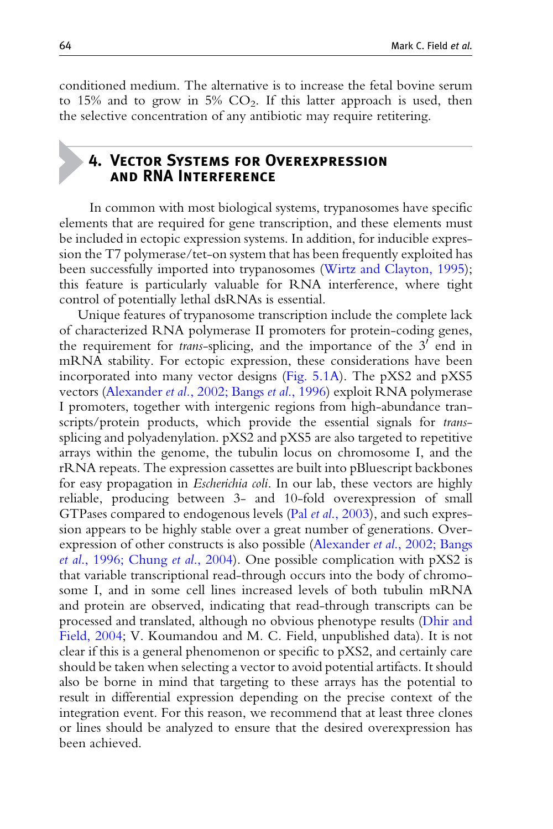conditioned medium. The alternative is to increase the fetal bovine serum to 15% and to grow in 5%  $CO<sub>2</sub>$ . If this latter approach is used, then the selective concentration of any antibiotic may require retitering.

# 4. Vector Systems for Overexpression and RNA Interference

In common with most biological systems, trypanosomes have specific elements that are required for gene transcription, and these elements must be included in ectopic expression systems. In addition, for inducible expression the T7 polymerase/tet-on system that has been frequently exploited has been successfully imported into trypanosomes ([Wirtz and Clayton, 1995\)](#page-18-0); this feature is particularly valuable for RNA interference, where tight control of potentially lethal dsRNAs is essential.

Unique features of trypanosome transcription include the complete lack of characterized RNA polymerase II promoters for protein-coding genes, the requirement for *trans*-splicing, and the importance of the  $3'$  end in mRNA stability. For ectopic expression, these considerations have been incorporated into many vector designs [\(Fig. 5.1A](#page-8-0)). The pXS2 and pXS5 vectors (Alexander et al.[, 2002; Bangs](#page-16-0) et al., 1996) exploit RNA polymerase I promoters, together with intergenic regions from high-abundance transcripts/protein products, which provide the essential signals for transsplicing and polyadenylation. pXS2 and pXS5 are also targeted to repetitive arrays within the genome, the tubulin locus on chromosome I, and the rRNA repeats. The expression cassettes are built into pBluescript backbones for easy propagation in Escherichia coli. In our lab, these vectors are highly reliable, producing between 3- and 10-fold overexpression of small GTPases compared to endogenous levels (Pal et al[., 2003\)](#page-18-0), and such expression appears to be highly stable over a great number of generations. Overexpression of other constructs is also possible (Alexander et al[., 2002; Bangs](#page-16-0) et al[., 1996; Chung](#page-16-0) et al., 2004). One possible complication with pXS2 is that variable transcriptional read-through occurs into the body of chromosome I, and in some cell lines increased levels of both tubulin mRNA and protein are observed, indicating that read-through transcripts can be processed and translated, although no obvious phenotype results [\(Dhir and](#page-17-0) [Field, 2004;](#page-17-0) V. Koumandou and M. C. Field, unpublished data). It is not clear if this is a general phenomenon or specific to pXS2, and certainly care should be taken when selecting a vector to avoid potential artifacts. It should also be borne in mind that targeting to these arrays has the potential to result in differential expression depending on the precise context of the integration event. For this reason, we recommend that at least three clones or lines should be analyzed to ensure that the desired overexpression has been achieved.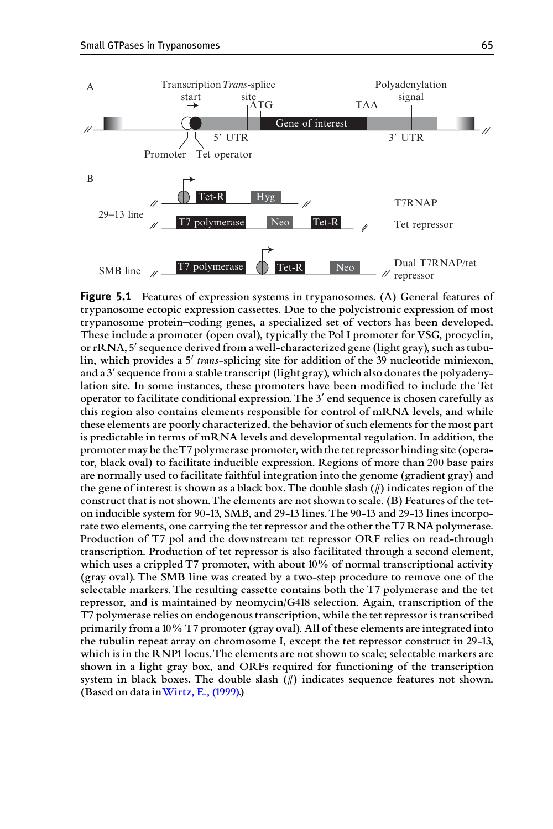<span id="page-8-0"></span>

Figure 5.1 Features of expression systems in trypanosomes. (A) General features of trypanosome ectopic expression cassettes. Due to the polycistronic expression of most trypanosome protein-coding genes, a specialized set of vectors has been developed. These include a promoter (open oval), typically the Pol I promoter for VSG, procyclin, or  $rRNA$ ,  $5^{\prime}$  sequence derived from a well-characterized gene (light gray), such as tubulin, which provides a  $5'$  trans-splicing site for addition of the 39 nucleotide miniexon, and a  $3'$  sequence from a stable transcript (light gray), which also donates the polyadenylation site. In some instances, these promoters have been modified to include the Tet operator to facilitate conditional expression. The  $3'$  end sequence is chosen carefully as this region also contains elements responsible for control of mRNA levels, and while these elements are poorly characterized, the behavior of such elements for the most part is predictable in terms of mRNA levels and developmental regulation. In addition, the promoter may be theT7 polymerase promoter, with the tet repressor binding site (operator, black oval) to facilitate inducible expression. Regions of more than 200 base pairs are normally used to facilitate faithful integration into the genome (gradient gray) and the gene of interest is shown as a black box. The double slash  $(\#)$  indicates region of the construct that is not shown.The elements are not shown to scale. (B) Features of the teton inducible system for 90-13, SMB, and 29-13 lines.The 90-13 and 29-13 lines incorporate two elements, one carrying the tet repressor and the other theT7 RNA polymerase. Production of T7 pol and the downstream tet repressor ORF relies on read-through transcription. Production of tet repressor is also facilitated through a second element, which uses a crippled T7 promoter, with about 10% of normal transcriptional activity (gray oval). The SMB line was created by a two-step procedure to remove one of the selectable markers. The resulting cassette contains both the T7 polymerase and the tet repressor, and is maintained by neomycin/G418 selection. Again, transcription of the T7 polymerase relies on endogenous transcription, while the tet repressor is transcribed primarily from a 10% T7 promoter (gray oval). All of these elements are integrated into the tubulin repeat array on chromosome I, except the tet repressor construct in 29-13, which is in the RNP1 locus.The elements are not shown to scale; selectable markers are shown in a light gray box, and ORFs required for functioning of the transcription system in black boxes. The double slash  $(\#)$  indicates sequence features not shown. (Based on data inWirtz, [E.,\(1999\).](#page-18-0))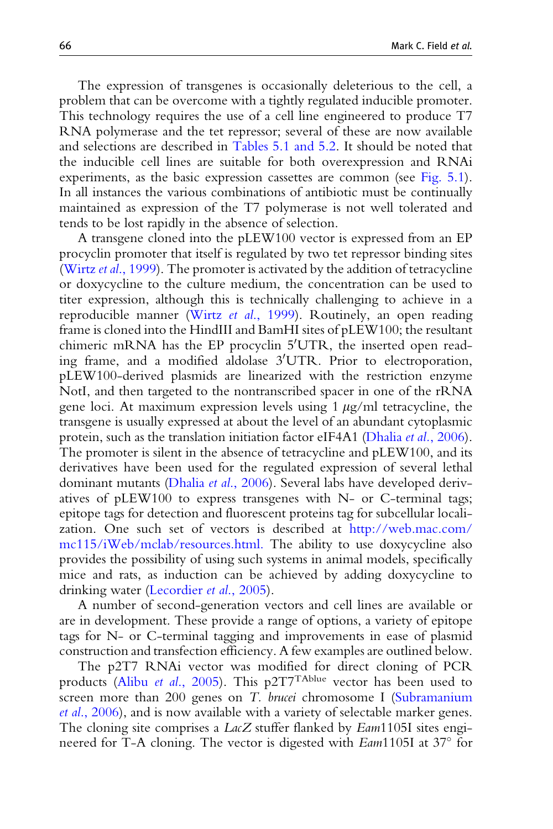The expression of transgenes is occasionally deleterious to the cell, a problem that can be overcome with a tightly regulated inducible promoter. This technology requires the use of a cell line engineered to produce T7 RNA polymerase and the tet repressor; several of these are now available and selections are described in [Tables 5.1 and 5.2](#page-10-0). It should be noted that the inducible cell lines are suitable for both overexpression and RNAi experiments, as the basic expression cassettes are common (see [Fig. 5.1\)](#page-8-0). In all instances the various combinations of antibiotic must be continually maintained as expression of the T7 polymerase is not well tolerated and tends to be lost rapidly in the absence of selection.

A transgene cloned into the pLEW100 vector is expressed from an EP procyclin promoter that itself is regulated by two tet repressor binding sites ([Wirtz](#page-18-0) et al., 1999). The promoter is activated by the addition of tetracycline or doxycycline to the culture medium, the concentration can be used to titer expression, although this is technically challenging to achieve in a reproducible manner ([Wirtz](#page-18-0) et al., 1999). Routinely, an open reading frame is cloned into the HindIII and BamHI sites of pLEW100; the resultant chimeric mRNA has the EP procyclin 5'UTR, the inserted open reading frame, and a modified aldolase 3'UTR. Prior to electroporation, pLEW100-derived plasmids are linearized with the restriction enzyme NotI, and then targeted to the nontranscribed spacer in one of the rRNA gene loci. At maximum expression levels using  $1 \mu g/ml$  tetracycline, the transgene is usually expressed at about the level of an abundant cytoplasmic protein, such as the translation initiation factor eIF4A1 ([Dhalia](#page-17-0) et al., 2006). The promoter is silent in the absence of tetracycline and pLEW100, and its derivatives have been used for the regulated expression of several lethal dominant mutants (Dhalia et al[., 2006\)](#page-17-0). Several labs have developed derivatives of pLEW100 to express transgenes with N- or C-terminal tags; epitope tags for detection and fluorescent proteins tag for subcellular localization. One such set of vectors is described at [http://web.mac.com/](http://web.mac.com/mc115/iWeb/mclab/resources.html) [mc115/iWeb/mclab/resources.html.](http://web.mac.com/mc115/iWeb/mclab/resources.html) The ability to use doxycycline also provides the possibility of using such systems in animal models, specifically mice and rats, as induction can be achieved by adding doxycycline to drinking water ([Lecordier](#page-18-0) et al., 2005).

A number of second-generation vectors and cell lines are available or are in development. These provide a range of options, a variety of epitope tags for N- or C-terminal tagging and improvements in ease of plasmid construction and transfection efficiency. A few examples are outlined below.

The p2T7 RNAi vector was modified for direct cloning of PCR products (Alibu et al[., 2005](#page-16-0)). This p2T7<sup>TAblue</sup> vector has been used to screen more than 200 genes on T. brucei chromosome I ([Subramanium](#page-18-0) et al[., 2006\)](#page-18-0), and is now available with a variety of selectable marker genes. The cloning site comprises a LacZ stuffer flanked by Eam1105I sites engineered for T-A cloning. The vector is digested with  $Eam1105I$  at  $37^{\circ}$  for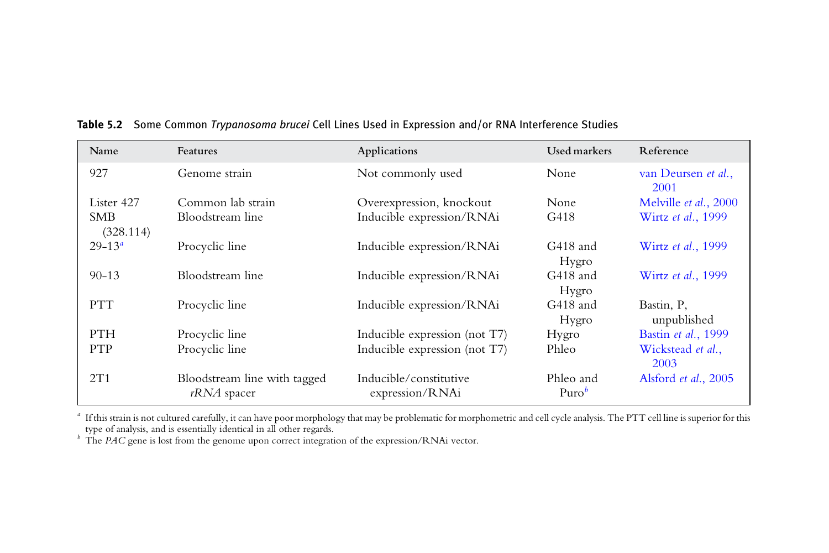| Name                    | Features                                    | Applications                              | Used markers                   | Reference                   |
|-------------------------|---------------------------------------------|-------------------------------------------|--------------------------------|-----------------------------|
| 927                     | Genome strain                               | Not commonly used                         | None                           | van Deursen et al.,<br>2001 |
| Lister 427              | Common lab strain                           | Overexpression, knockout                  | None                           | Melville et al., 2000       |
| <b>SMB</b><br>(328.114) | Bloodstream line                            | Inducible expression/RNAi                 | G418                           | Wirtz et al., 1999          |
| $29 - 13^a$             | Procyclic line                              | Inducible expression/RNAi                 | G418 and<br>Hygro              | Wirtz et al., 1999          |
| $90 - 13$               | Bloodstream line                            | Inducible expression/RNAi                 | G418 and<br>Hygro              | Wirtz et al., 1999          |
| <b>PTT</b>              | Procyclic line                              | Inducible expression/RNAi                 | G418 and<br>Hygro              | Bastin, P.<br>unpublished   |
| <b>PTH</b>              | Procyclic line                              | Inducible expression (not T7)             | Hygro                          | Bastin et al., 1999         |
| <b>PTP</b>              | Procyclic line                              | Inducible expression (not T7)             | Phleo                          | Wickstead et al.,<br>2003   |
| 2T1                     | Bloodstream line with tagged<br>rRNA spacer | Inducible/constitutive<br>expression/RNAi | Phleo and<br>Puro <sup>b</sup> | Alsford et al., 2005        |

<span id="page-10-0"></span>**Table 5.2** Some Common *Trypanosoma brucei* Cell Lines Used in Expression and/or RNA Interference Studies

 $^a$  If this strain is not cultured carefully, it can have poor morphology that may be problematic for morphometric and cell cycle analysis. The PTT cell line is superior for this

type of analysis, and is essentially identical in all other regards.<br><sup>b</sup> The PAC gene is lost from the genome upon correct integration of the expression/RNAi vector.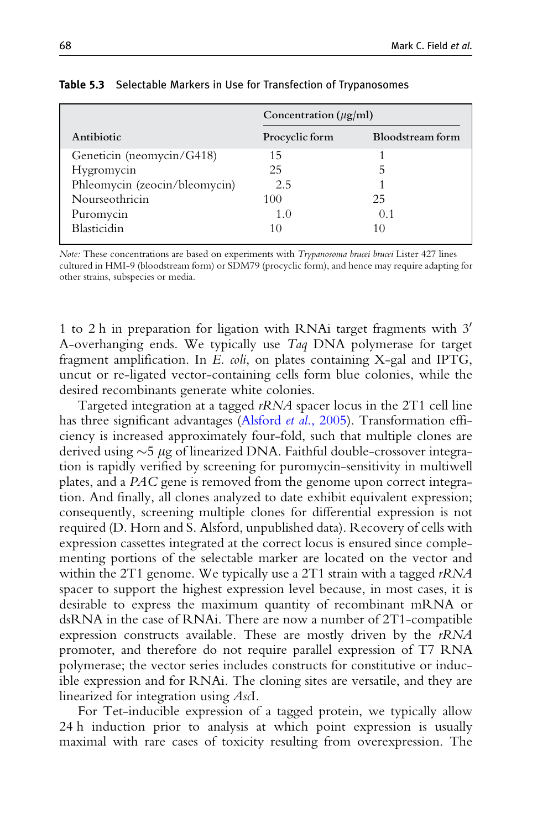|                               | Concentration $(\mu g/ml)$ |                  |
|-------------------------------|----------------------------|------------------|
| Antibiotic                    | Procyclic form             | Bloodstream form |
| Geneticin (neomycin/G418)     | 15                         |                  |
| Hygromycin                    | 25                         | 5                |
| Phleomycin (zeocin/bleomycin) | 2.5                        |                  |
| Nourseothricin                | 100                        | 25               |
| Puromycin                     | 1.0                        | 0.1              |
| Blasticidin                   |                            | 10               |

Table <sup>5</sup>.<sup>3</sup> Selectable Markers in Use for Transfection of Trypanosomes

Note: These concentrations are based on experiments with Trypanosoma brucei brucei Lister 427 lines cultured in HMI-9 (bloodstream form) or SDM79 (procyclic form), and hence may require adapting for other strains, subspecies or media.

1 to 2 h in preparation for ligation with RNAi target fragments with  $3<sup>′</sup>$ A-overhanging ends. We typically use Taq DNA polymerase for target fragment amplification. In E. coli, on plates containing X-gal and IPTG, uncut or re-ligated vector-containing cells form blue colonies, while the desired recombinants generate white colonies.

Targeted integration at a tagged rRNA spacer locus in the 2T1 cell line has three significant advantages (Alsford et al[., 2005\)](#page-17-0). Transformation efficiency is increased approximately four-fold, such that multiple clones are derived using  $\sim$  5  $\mu$ g of linearized DNA. Faithful double-crossover integration is rapidly verified by screening for puromycin-sensitivity in multiwell plates, and a PAC gene is removed from the genome upon correct integration. And finally, all clones analyzed to date exhibit equivalent expression; consequently, screening multiple clones for differential expression is not required (D. Horn and S. Alsford, unpublished data). Recovery of cells with expression cassettes integrated at the correct locus is ensured since complementing portions of the selectable marker are located on the vector and within the 2T1 genome. We typically use a 2T1 strain with a tagged rRNA spacer to support the highest expression level because, in most cases, it is desirable to express the maximum quantity of recombinant mRNA or dsRNA in the case of RNAi. There are now a number of 2T1-compatible expression constructs available. These are mostly driven by the  $rRNA$ promoter, and therefore do not require parallel expression of T7 RNA polymerase; the vector series includes constructs for constitutive or inducible expression and for RNAi. The cloning sites are versatile, and they are linearized for integration using AscI.

For Tet-inducible expression of a tagged protein, we typically allow 24 h induction prior to analysis at which point expression is usually maximal with rare cases of toxicity resulting from overexpression. The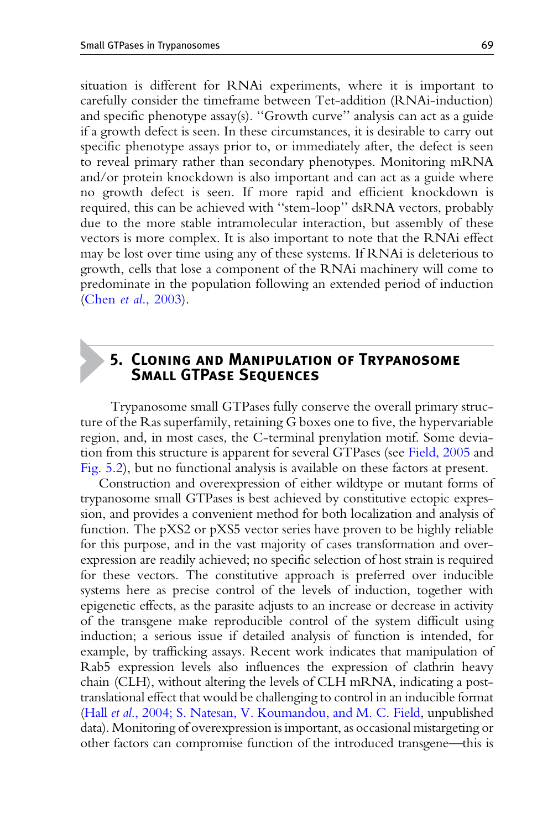situation is different for RNAi experiments, where it is important to carefully consider the timeframe between Tet-addition (RNAi-induction) and specific phenotype assay(s). ''Growth curve'' analysis can act as a guide if a growth defect is seen. In these circumstances, it is desirable to carry out specific phenotype assays prior to, or immediately after, the defect is seen to reveal primary rather than secondary phenotypes. Monitoring mRNA and/or protein knockdown is also important and can act as a guide where no growth defect is seen. If more rapid and efficient knockdown is required, this can be achieved with ''stem-loop'' dsRNA vectors, probably due to the more stable intramolecular interaction, but assembly of these vectors is more complex. It is also important to note that the RNAi effect may be lost over time using any of these systems. If RNAi is deleterious to growth, cells that lose a component of the RNAi machinery will come to predominate in the population following an extended period of induction (Chen *et al.*, 2003).

# 5. Cloning and Manipulation of Trypanosome Small GTPase Sequences

Trypanosome small GTPases fully conserve the overall primary structure of the Ras superfamily, retaining G boxes one to five, the hypervariable region, and, in most cases, the C-terminal prenylation motif. Some deviation from this structure is apparent for several GTPases (see [Field, 2005](#page-17-0) and [Fig. 5.2](#page-13-0)), but no functional analysis is available on these factors at present.

Construction and overexpression of either wildtype or mutant forms of trypanosome small GTPases is best achieved by constitutive ectopic expression, and provides a convenient method for both localization and analysis of function. The pXS2 or pXS5 vector series have proven to be highly reliable for this purpose, and in the vast majority of cases transformation and overexpression are readily achieved; no specific selection of host strain is required for these vectors. The constitutive approach is preferred over inducible systems here as precise control of the levels of induction, together with epigenetic effects, as the parasite adjusts to an increase or decrease in activity of the transgene make reproducible control of the system difficult using induction; a serious issue if detailed analysis of function is intended, for example, by trafficking assays. Recent work indicates that manipulation of Rab5 expression levels also influences the expression of clathrin heavy chain (CLH), without altering the levels of CLH mRNA, indicating a posttranslational effect that would be challenging to control in an inducible format (Hall et al., 2004; S. Natesan, V. [Koumandou,](#page-17-0) and M. C. Field, unpublished data). Monitoring of overexpression is important, as occasional mistargeting or other factors can compromise function of the introduced transgene—this is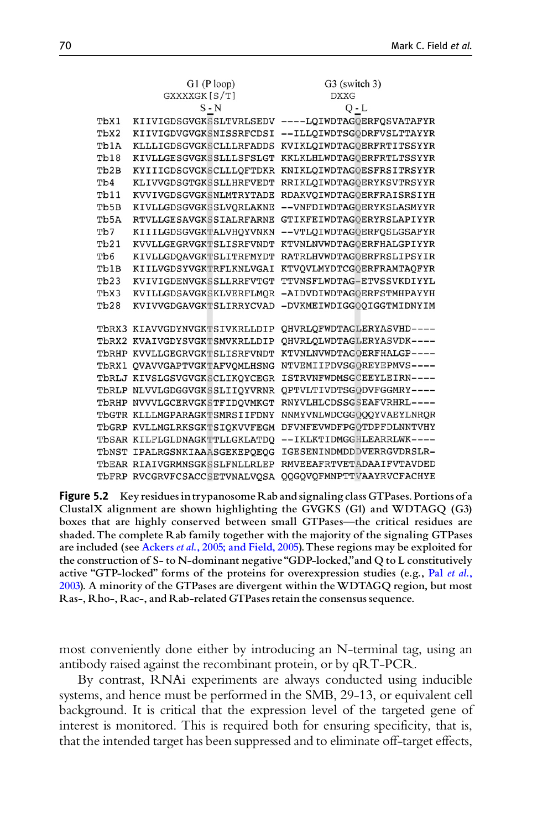<span id="page-13-0"></span>

|                   | $G1$ (P loop)                  | G3 (switch 3)             |
|-------------------|--------------------------------|---------------------------|
|                   | GXXXXGK[S/T]                   | <b>DXXG</b>               |
|                   | $S - N$                        | $Q - L$                   |
| TbX1              | KIIVIGDSGVGKSSLTVRLSEDV        | ----LOIWDTAGOERFOSVATAFYR |
| TbX2              | KIIVIGDVGVGKSNISSRFCDSI        | --ILLOIWDTSGODRFVSLTTAYYR |
| Tb <sub>1</sub> A | KLLLIGDSGVGKSCLLLRFADDS        | KVIKLQIWDTAGOERFRTITSSYYR |
| Tb18              | KIVLLGESGVGKSSLLLSFSLGT        | KKLKLHLWDTAGOERFRTLTSSYYR |
| Tb <sub>2</sub> B | KYIIIGDSGVGKSCLLLOFTDKR        | KNIKLOIWDTAGOESFRSITRSYYR |
| Tb4               | KLIVVGDSGTGKSSLLHRFVEDT        | RRIKLOIWDTAGOERYKSVTRSYYR |
| Tb11              | KVVIVGDSGVGKSNLMTRYTADE        | RDAKVOIWDTAGOERFRAISRSIYH |
| Tb5B              | KIVLLGDSGVGKSSLVORLAKNE        | --VNFDIWDTAGOERYKSLASMYYR |
| Tb5A              | RTVLLGESAVGKSSIALRFARNE        | GTIKFEIWDTAGOERYRSLAPIYYR |
| Tb7               | KIIILGDSGVGKTALVHOYVNKN        | --VTLOIWDTAGOERFOSLGSAFYR |
| Th21              | KVVLLGEGRVGKTSLISRFVNDT        | KTVNLNVWDTAGOERFHALGPIYYR |
| ть6               | KIVLLGDOAVGKTSLITRFMYDT        | RATRLHVWDTAGOERFRSLIPSYIR |
| Tb1B              | KIILVGDSYVGKTRFLKNLVGAI        | KTVOVLMYDTCGOERFRAMTAOFYR |
| Tb23              | KVIVIGDENVGKSSLLRRFVTGT        | TTVNSFLWDTAG-ETVSSVKDIYYL |
| TbX3              | KVILLGDSAVGKSKLVERFLMOR        | -AIDVDIWDTAGOERFSTMHPAYYH |
| Tb28              | KVIVVGDGAVGKTSLIRRYCVAD        | -DVKMEIWDIGGOOIGGTMIDNYIM |
|                   |                                |                           |
| TbRX3             | KIAVVGDYNVGKTSIVKRLLDIP        | OHVRLOFWDTAGLERYASVHD---- |
| TbRX2             | KVAIVGDYSVGKTSMVKRLLDIP        | QHVRLQLWDTAGLERYASVDK---- |
| TbRHP             | KVVLLGEGRVGKTSLISRFVNDT        | KTVNLNVWDTAGOERFHALGP---- |
| TbRX1             | <b>QVAVVGAPTVGKTAFVOMLHSNG</b> | NTVEMIIFDVSGOREYEPMVS---- |
|                   | TbRLJ KIVSLGSVGVGKSCLIKQYCEGR  | ISTRVNFWDMSGCEEYLEIRN---- |
|                   | TbRLP NLVVLGDGGVGKSSLIIOYVRNR  | OPTVLTIVDTSGODVFGGMRY---- |
|                   | TbRHP NVVVLGCERVGKSTFIDQVMKGT  | RNYVLHLCDSSGSEAFVRHRL---- |
|                   | TbGTR KLLLMGPARAGKTSMRSIIFDNY  | NNMYVNLWDCGGOQQYVAEYLNRQR |
|                   | TbGRP KVLLMGLRKSGKTSIOKVVFEGM  | DFVNFEVWDFPGOTDPFDLNNTVHY |
|                   | TbSAR KILFLGLDNAGKTTLLGKLATDO  | --IKLKTIDMGGHLEARRLWK---- |
|                   | TONST IPALRGSNKIAAASGEKEPOEOG  | IGESENINDMDDDVERRGVDRSLR- |
|                   | TbEAR RIAIVGRMNSGKSSLFNLLRLEP  | RMVEEAFRTVETADAAIFVTAVDED |
|                   | TbFRP RVCGRVFCSACCSETVNALVOSA  | OOGOVOFMNPTTVAAYRVCFACHYE |

Figure <sup>5</sup>.<sup>2</sup> Key residues in trypanosome Rab and signaling class GTPases. Portions of a ClustalX alignment are shown highlighting the GVGKS (G1) and WDTAGQ (G3) boxes that are highly conserved between small GTPases-the critical residues are shaded.The complete Rab family together with the majority of the signaling GTPases are included (see [Ackers](#page-16-0) et al., 2005; and Field, 2005).These regions may be exploited for the construction of S- to N-dominant negative''GDP-locked,''and Q to L constitutively active "GTP-locked" forms of the proteins for overexpression studies (e.g., Pal [et al](#page-18-0)., [2003\)](#page-18-0). A minority of the GTPases are divergent within theWDTAGQ region, but most Ras-, Rho-, Rac-, and Rab-related GTPases retain the consensus sequence.

most conveniently done either by introducing an N-terminal tag, using an antibody raised against the recombinant protein, or by qRT-PCR.

By contrast, RNAi experiments are always conducted using inducible systems, and hence must be performed in the SMB, 29-13, or equivalent cell background. It is critical that the expression level of the targeted gene of interest is monitored. This is required both for ensuring specificity, that is, that the intended target has been suppressed and to eliminate off-target effects,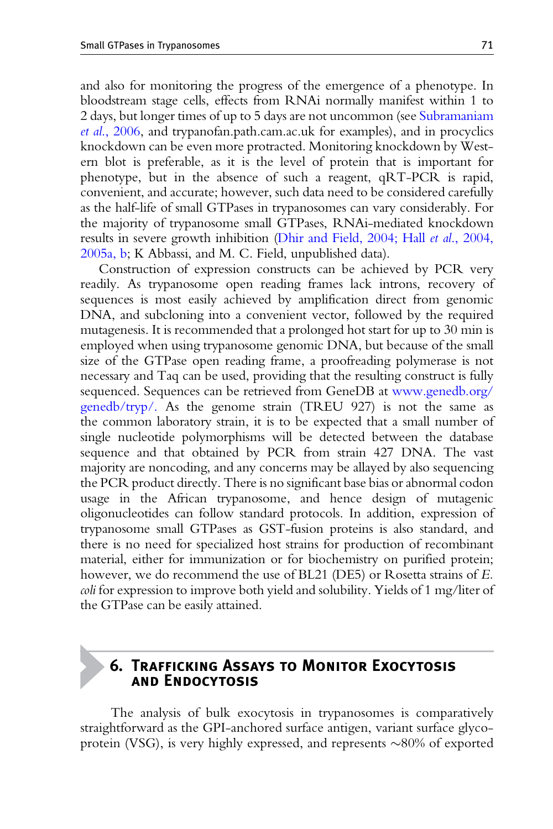and also for monitoring the progress of the emergence of a phenotype. In bloodstream stage cells, effects from RNAi normally manifest within 1 to 2 days, but longer times of up to 5 days are not uncommon (see [Subramaniam](#page-18-0) et al[., 2006,](#page-18-0) and trypanofan.path.cam.ac.uk for examples), and in procyclics knockdown can be even more protracted. Monitoring knockdown by Western blot is preferable, as it is the level of protein that is important for phenotype, but in the absence of such a reagent, qRT-PCR is rapid, convenient, and accurate; however, such data need to be considered carefully as the half-life of small GTPases in trypanosomes can vary considerably. For the majority of trypanosome small GTPases, RNAi-mediated knockdown results in severe growth inhibition [\(Dhir and Field, 2004; Hall](#page-17-0) et al., 2004, [2005a, b](#page-17-0); K Abbassi, and M. C. Field, unpublished data).

Construction of expression constructs can be achieved by PCR very readily. As trypanosome open reading frames lack introns, recovery of sequences is most easily achieved by amplification direct from genomic DNA, and subcloning into a convenient vector, followed by the required mutagenesis. It is recommended that a prolonged hot start for up to 30 min is employed when using trypanosome genomic DNA, but because of the small size of the GTPase open reading frame, a proofreading polymerase is not necessary and Taq can be used, providing that the resulting construct is fully sequenced. Sequences can be retrieved from GeneDB at [www.genedb.org/](http://www.genedb.org/genedb/tryp/) [genedb/tryp/.](http://www.genedb.org/genedb/tryp/) As the genome strain (TREU 927) is not the same as the common laboratory strain, it is to be expected that a small number of single nucleotide polymorphisms will be detected between the database sequence and that obtained by PCR from strain 427 DNA. The vast majority are noncoding, and any concerns may be allayed by also sequencing the PCR product directly. There is no significant base bias or abnormal codon usage in the African trypanosome, and hence design of mutagenic oligonucleotides can follow standard protocols. In addition, expression of trypanosome small GTPases as GST-fusion proteins is also standard, and there is no need for specialized host strains for production of recombinant material, either for immunization or for biochemistry on purified protein; however, we do recommend the use of BL21 (DE5) or Rosetta strains of E. coli for expression to improve both yield and solubility. Yields of 1 mg/liter of the GTPase can be easily attained.

## 6. Trafficking Assays to Monitor Exocytosis and Endocytosis

The analysis of bulk exocytosis in trypanosomes is comparatively straightforward as the GPI-anchored surface antigen, variant surface glycoprotein (VSG), is very highly expressed, and represents  $\sim$ 80% of exported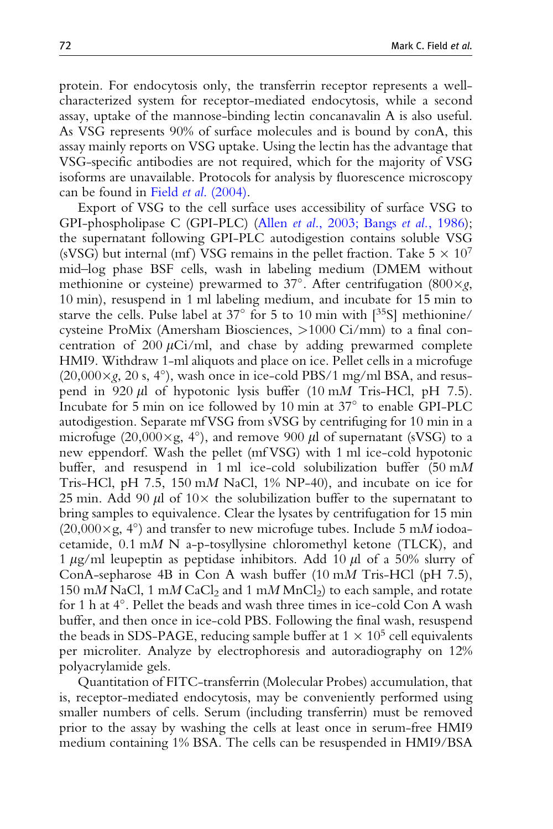protein. For endocytosis only, the transferrin receptor represents a wellcharacterized system for receptor-mediated endocytosis, while a second assay, uptake of the mannose-binding lectin concanavalin A is also useful. As VSG represents 90% of surface molecules and is bound by conA, this assay mainly reports on VSG uptake. Using the lectin has the advantage that VSG-specific antibodies are not required, which for the majority of VSG isoforms are unavailable. Protocols for analysis by fluorescence microscopy can be found in Field et al[. \(2004\).](#page-17-0)

Export of VSG to the cell surface uses accessibility of surface VSG to GPI-phospholipase C (GPI-PLC) (Allen et al[., 2003; Bangs](#page-16-0) et al., 1986); the supernatant following GPI-PLC autodigestion contains soluble VSG (sVSG) but internal (mf) VSG remains in the pellet fraction. Take  $5 \times 10^7$ mid–log phase BSF cells, wash in labeling medium (DMEM without methionine or cysteine) prewarmed to 37°. After centrifugation (800 $\times$ g, 10 min), resuspend in 1 ml labeling medium, and incubate for 15 min to starve the cells. Pulse label at  $37^{\circ}$  for 5 to 10 min with [35S] methionine/ cysteine ProMix (Amersham Biosciences, >1000 Ci/mm) to a final concentration of  $200 \mu \mathrm{Ci/m}$ , and chase by adding prewarmed complete HMI9. Withdraw 1-ml aliquots and place on ice. Pellet cells in a microfuge  $(20,000 \times g, 20 \text{ s}, 4^{\circ})$ , wash once in ice-cold PBS/1 mg/ml BSA, and resuspend in 920  $\mu$ l of hypotonic lysis buffer (10 mM Tris-HCl, pH 7.5). Incubate for 5 min on ice followed by 10 min at  $37^{\circ}$  to enable GPI-PLC autodigestion. Separate mf VSG from sVSG by centrifuging for 10 min in a microfuge (20,000 $\times$ g, 4°), and remove 900  $\mu$ l of supernatant (sVSG) to a new eppendorf. Wash the pellet (mf VSG) with 1 ml ice-cold hypotonic buffer, and resuspend in 1 ml ice-cold solubilization buffer  $(50 \text{ m})$ Tris-HCl, pH 7.5, 150 mM NaCl, 1% NP-40), and incubate on ice for 25 min. Add 90  $\mu$ l of 10 $\times$  the solubilization buffer to the supernatant to bring samples to equivalence. Clear the lysates by centrifugation for 15 min  $(20,000\times g, 4^{\circ})$  and transfer to new microfuge tubes. Include 5 mM iodoacetamide,  $0.1 \text{ m}$  N a-p-tosyllysine chloromethyl ketone (TLCK), and 1  $\mu$ g/ml leupeptin as peptidase inhibitors. Add 10  $\mu$ l of a 50% slurry of ConA-sepharose 4B in Con A wash buffer  $(10 \text{ mM Tris-HCl (pH 7.5)})$ , 150 mM NaCl, 1 mM CaCl<sub>2</sub> and 1 mM MnCl<sub>2</sub>) to each sample, and rotate for 1 h at  $4^\circ$ . Pellet the beads and wash three times in ice-cold Con A wash buffer, and then once in ice-cold PBS. Following the final wash, resuspend the beads in SDS-PAGE, reducing sample buffer at  $1 \times 10^5$  cell equivalents per microliter. Analyze by electrophoresis and autoradiography on 12% polyacrylamide gels.

Quantitation of FITC-transferrin (Molecular Probes) accumulation, that is, receptor-mediated endocytosis, may be conveniently performed using smaller numbers of cells. Serum (including transferrin) must be removed prior to the assay by washing the cells at least once in serum-free HMI9 medium containing 1% BSA. The cells can be resuspended in HMI9/BSA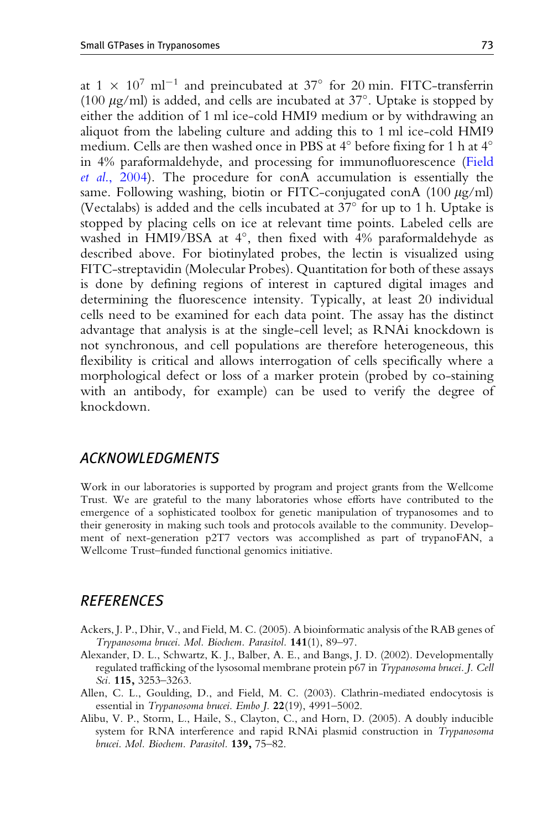<span id="page-16-0"></span>at  $1 \times 10^{7}$  ml<sup>-1</sup> and preincubated at 37° for 20 min. FITC-transferrin (100  $\mu$ g/ml) is added, and cells are incubated at 37°. Uptake is stopped by either the addition of 1 ml ice-cold HMI9 medium or by withdrawing an aliquot from the labeling culture and adding this to 1 ml ice-cold HMI9 medium. Cells are then washed once in PBS at  $4^\circ$  before fixing for 1 h at  $4^\circ$ in 4% paraformaldehyde, and processing for immunofluorescence [\(Field](#page-17-0) et al[., 2004](#page-17-0)). The procedure for conA accumulation is essentially the same. Following washing, biotin or FITC-conjugated conA  $(100 \mu g/ml)$ (Vectalabs) is added and the cells incubated at  $37^{\circ}$  for up to 1 h. Uptake is stopped by placing cells on ice at relevant time points. Labeled cells are washed in HMI9/BSA at  $4^\circ$ , then fixed with  $4\%$  paraformaldehyde as described above. For biotinylated probes, the lectin is visualized using FITC-streptavidin (Molecular Probes). Quantitation for both of these assays

is done by defining regions of interest in captured digital images and determining the fluorescence intensity. Typically, at least 20 individual cells need to be examined for each data point. The assay has the distinct advantage that analysis is at the single-cell level; as RNAi knockdown is not synchronous, and cell populations are therefore heterogeneous, this flexibility is critical and allows interrogation of cells specifically where a morphological defect or loss of a marker protein (probed by co-staining with an antibody, for example) can be used to verify the degree of knockdown.

## ACKNOWLEDGMENTS

Work in our laboratories is supported by program and project grants from the Wellcome Trust. We are grateful to the many laboratories whose efforts have contributed to the emergence of a sophisticated toolbox for genetic manipulation of trypanosomes and to their generosity in making such tools and protocols available to the community. Development of next-generation p2T7 vectors was accomplished as part of trypanoFAN, a Wellcome Trust–funded functional genomics initiative.

### **REFERENCES**

- Ackers, J. P., Dhir, V., and Field, M. C. (2005). A bioinformatic analysis of the RAB genes of Trypanosoma brucei. Mol. Biochem. Parasitol. 141(1), 89–97.
- Alexander, D. L., Schwartz, K. J., Balber, A. E., and Bangs, J. D. (2002). Developmentally regulated trafficking of the lysosomal membrane protein p67 in Trypanosoma brucei. J. Cell Sci. 115, 3253-3263.
- Allen, C. L., Goulding, D., and Field, M. C. (2003). Clathrin-mediated endocytosis is essential in Trypanosoma brucei. Embo J. 22(19), 4991–5002.
- Alibu, V. P., Storm, L., Haile, S., Clayton, C., and Horn, D. (2005). A doubly inducible system for RNA interference and rapid RNAi plasmid construction in Trypanosoma brucei. Mol. Biochem. Parasitol. 139, 75–82.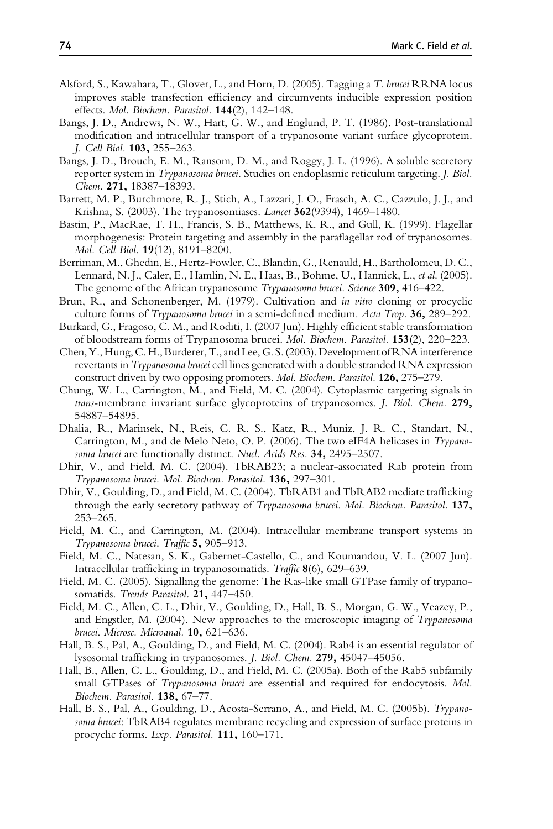- <span id="page-17-0"></span>Alsford, S., Kawahara, T., Glover, L., and Horn, D. (2005). Tagging a T. brucei RRNA locus improves stable transfection efficiency and circumvents inducible expression position effects. Mol. Biochem. Parasitol. 144(2), 142–148.
- Bangs, J. D., Andrews, N. W., Hart, G. W., and Englund, P. T. (1986). Post-translational modification and intracellular transport of a trypanosome variant surface glycoprotein. J. Cell Biol. 103, 255–263.
- Bangs, J. D., Brouch, E. M., Ransom, D. M., and Roggy, J. L. (1996). A soluble secretory reporter system in Trypanosoma brucei. Studies on endoplasmic reticulum targeting. J. Biol. Chem. 271, 18387–18393.
- Barrett, M. P., Burchmore, R. J., Stich, A., Lazzari, J. O., Frasch, A. C., Cazzulo, J. J., and Krishna, S. (2003). The trypanosomiases. Lancet 362(9394), 1469–1480.
- Bastin, P., MacRae, T. H., Francis, S. B., Matthews, K. R., and Gull, K. (1999). Flagellar morphogenesis: Protein targeting and assembly in the paraflagellar rod of trypanosomes. Mol. Cell Biol. 19(12), 8191–8200.
- Berriman, M., Ghedin, E., Hertz-Fowler, C., Blandin, G., Renauld, H., Bartholomeu, D. C., Lennard, N. J., Caler, E., Hamlin, N. E., Haas, B., Bohme, U., Hannick, L., et al. (2005). The genome of the African trypanosome Trypanosoma brucei. Science 309, 416–422.
- Brun, R., and Schonenberger, M. (1979). Cultivation and in vitro cloning or procyclic culture forms of Trypanosoma brucei in a semi-defined medium. Acta Trop. 36, 289–292.
- Burkard, G., Fragoso, C. M., and Roditi, I. (2007 Jun). Highly efficient stable transformation of bloodstream forms of Trypanosoma brucei. Mol. Biochem. Parasitol. 153(2), 220–223.
- Chen, Y., Hung, C. H., Burderer, T., and Lee, G. S. (2003). Development of RNA interference revertants in Trypanosoma brucei cell lines generated with a double stranded RNA expression construct driven by two opposing promoters. Mol. Biochem. Parasitol. 126, 275–279.
- Chung, W. L., Carrington, M., and Field, M. C. (2004). Cytoplasmic targeting signals in trans-membrane invariant surface glycoproteins of trypanosomes. J. Biol. Chem. 279, 54887–54895.
- Dhalia, R., Marinsek, N., Reis, C. R. S., Katz, R., Muniz, J. R. C., Standart, N., Carrington, M., and de Melo Neto, O. P. (2006). The two eIF4A helicases in Trypanosoma brucei are functionally distinct. Nucl. Acids Res. 34, 2495–2507.
- Dhir, V., and Field, M. C. (2004). TbRAB23; a nuclear-associated Rab protein from Trypanosoma brucei. Mol. Biochem. Parasitol. 136, 297–301.
- Dhir, V., Goulding, D., and Field, M. C. (2004). TbRAB1 and TbRAB2 mediate trafficking through the early secretory pathway of Trypanosoma brucei. Mol. Biochem. Parasitol. 137, 253–265.
- Field, M. C., and Carrington, M. (2004). Intracellular membrane transport systems in Trypanosoma brucei. Traffic 5, 905–913.
- Field, M. C., Natesan, S. K., Gabernet-Castello, C., and Koumandou, V. L. (2007 Jun). Intracellular trafficking in trypanosomatids. Traffic 8(6), 629–639.
- Field, M. C. (2005). Signalling the genome: The Ras-like small GTPase family of trypanosomatids. Trends Parasitol. 21, 447-450.
- Field, M. C., Allen, C. L., Dhir, V., Goulding, D., Hall, B. S., Morgan, G. W., Veazey, P., and Engstler, M. (2004). New approaches to the microscopic imaging of Trypanosoma brucei. Microsc. Microanal. 10, 621–636.
- Hall, B. S., Pal, A., Goulding, D., and Field, M. C. (2004). Rab4 is an essential regulator of lysosomal trafficking in trypanosomes. J. Biol. Chem. 279, 45047–45056.
- Hall, B., Allen, C. L., Goulding, D., and Field, M. C. (2005a). Both of the Rab5 subfamily small GTPases of Trypanosoma brucei are essential and required for endocytosis. Mol. Biochem. Parasitol. 138, 67–77.
- Hall, B. S., Pal, A., Goulding, D., Acosta-Serrano, A., and Field, M. C. (2005b). Trypanosoma brucei: TbRAB4 regulates membrane recycling and expression of surface proteins in procyclic forms. Exp. Parasitol. 111, 160-171.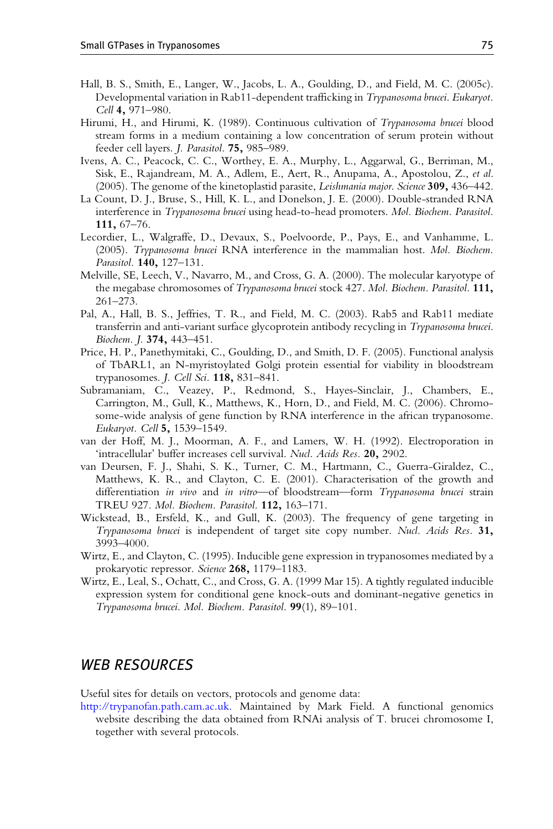- <span id="page-18-0"></span>Hall, B. S., Smith, E., Langer, W., Jacobs, L. A., Goulding, D., and Field, M. C. (2005c). Developmental variation in Rab11-dependent trafficking in Trypanosoma brucei. Eukaryot. Cell 4, 971–980.
- Hirumi, H., and Hirumi, K. (1989). Continuous cultivation of Trypanosoma brucei blood stream forms in a medium containing a low concentration of serum protein without feeder cell layers. *J. Parasitol*. **75**, 985–989.
- Ivens, A. C., Peacock, C. C., Worthey, E. A., Murphy, L., Aggarwal, G., Berriman, M., Sisk, E., Rajandream, M. A., Adlem, E., Aert, R., Anupama, A., Apostolou, Z., et al. (2005). The genome of the kinetoplastid parasite, Leishmania major. Science 309, 436–442.
- La Count, D. J., Bruse, S., Hill, K. L., and Donelson, J. E. (2000). Double-stranded RNA interference in Trypanosoma brucei using head-to-head promoters. Mol. Biochem. Parasitol. 111, 67–76.
- Lecordier, L., Walgraffe, D., Devaux, S., Poelvoorde, P., Pays, E., and Vanhamme, L. (2005). Trypanosoma brucei RNA interference in the mammalian host. Mol. Biochem. Parasitol. 140, 127–131.
- Melville, SE, Leech, V., Navarro, M., and Cross, G. A. (2000). The molecular karyotype of the megabase chromosomes of Trypanosoma brucei stock 427. Mol. Biochem. Parasitol. 111, 261–273.
- Pal, A., Hall, B. S., Jeffries, T. R., and Field, M. C. (2003). Rab5 and Rab11 mediate transferrin and anti-variant surface glycoprotein antibody recycling in Trypanosoma brucei. Biochem. J. 374, 443–451.
- Price, H. P., Panethymitaki, C., Goulding, D., and Smith, D. F. (2005). Functional analysis of TbARL1, an N-myristoylated Golgi protein essential for viability in bloodstream trypanosomes. J. Cell Sci. 118, 831–841.
- Subramaniam, C., Veazey, P., Redmond, S., Hayes-Sinclair, J., Chambers, E., Carrington, M., Gull, K., Matthews, K., Horn, D., and Field, M. C. (2006). Chromosome-wide analysis of gene function by RNA interference in the african trypanosome. Eukaryot. Cell 5, 1539–1549.
- van der Hoff, M. J., Moorman, A. F., and Lamers, W. H. (1992). Electroporation in 'intracellular' buffer increases cell survival. Nucl. Acids Res. 20, 2902.
- van Deursen, F. J., Shahi, S. K., Turner, C. M., Hartmann, C., Guerra-Giraldez, C., Matthews, K. R., and Clayton, C. E. (2001). Characterisation of the growth and differentiation in vivo and in vitro—of bloodstream—form Trypanosoma brucei strain TREU 927. Mol. Biochem. Parasitol. 112, 163–171.
- Wickstead, B., Ersfeld, K., and Gull, K. (2003). The frequency of gene targeting in Trypanosoma brucei is independent of target site copy number. Nucl. Acids Res. 31, 3993–4000.
- Wirtz, E., and Clayton, C. (1995). Inducible gene expression in trypanosomes mediated by a prokaryotic repressor. Science 268, 1179-1183.
- Wirtz, E., Leal, S., Ochatt, C., and Cross, G. A. (1999 Mar 15). A tightly regulated inducible expression system for conditional gene knock-outs and dominant-negative genetics in Trypanosoma brucei. Mol. Biochem. Parasitol. 99(1), 89–101.

## WEB RESOURCES

Useful sites for details on vectors, protocols and genome data:

<http://trypanofan.path.cam.ac.uk>. Maintained by Mark Field. A functional genomics website describing the data obtained from RNAi analysis of T. brucei chromosome I, together with several protocols.